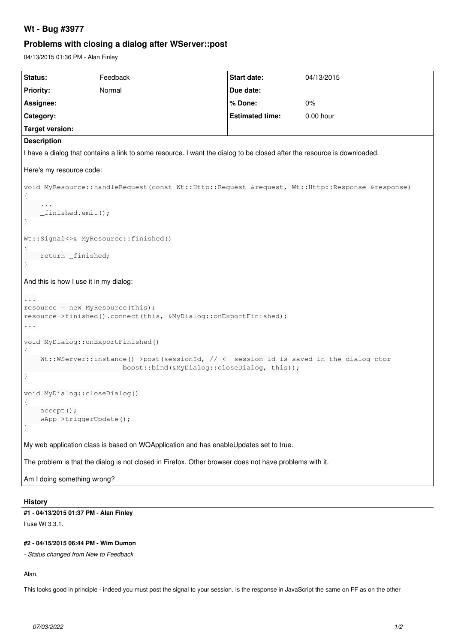# **Wt - Bug #3977**

# **Problems with closing a dialog after WServer::post**

04/13/2015 01:36 PM - Alan Finley

| Status:                                                                                                                              | Feedback | <b>Start date:</b>     | 04/13/2015 |
|--------------------------------------------------------------------------------------------------------------------------------------|----------|------------------------|------------|
| <b>Priority:</b>                                                                                                                     | Normal   | Due date:              |            |
| Assignee:                                                                                                                            |          | % Done:                | 0%         |
| Category:                                                                                                                            |          | <b>Estimated time:</b> | 0.00 hour  |
| <b>Target version:</b>                                                                                                               |          |                        |            |
| <b>Description</b>                                                                                                                   |          |                        |            |
| I have a dialog that contains a link to some resource. I want the dialog to be closed after the resource is downloaded.              |          |                        |            |
| Here's my resource code:                                                                                                             |          |                        |            |
| void MyResource::handleRequest (const Wt::Http::Request &request, Wt::Http::Response &response)                                      |          |                        |            |
|                                                                                                                                      |          |                        |            |
| $_f$ inished.emit();                                                                                                                 |          |                        |            |
| $\mathcal{F}$                                                                                                                        |          |                        |            |
| Wt::Signal<>& MyResource::finished()                                                                                                 |          |                        |            |
|                                                                                                                                      |          |                        |            |
| return _finished;                                                                                                                    |          |                        |            |
|                                                                                                                                      |          |                        |            |
| And this is how I use it in my dialog:                                                                                               |          |                        |            |
| $\cdots$                                                                                                                             |          |                        |            |
| $resource = new MyResource(this);$<br>resource->finished().connect(this, &MyDialog::onExportFinished);                               |          |                        |            |
| .                                                                                                                                    |          |                        |            |
| void MyDialog:: onExportFinished()                                                                                                   |          |                        |            |
| $\{$                                                                                                                                 |          |                        |            |
| Wt::WServer::instance()->post(sessionId, // <- session id is saved in the dialog ctor<br>boost::bind(&MyDialog::closeDialog, this)); |          |                        |            |
| <sup>}</sup>                                                                                                                         |          |                        |            |
| void MyDialog:: closeDialog()                                                                                                        |          |                        |            |
|                                                                                                                                      |          |                        |            |
| $accept()$ ;<br>$wApp-\text{triggerUpdate}$                                                                                          |          |                        |            |
|                                                                                                                                      |          |                        |            |
| My web application class is based on WQApplication and has enableUpdates set to true.                                                |          |                        |            |
| The problem is that the dialog is not closed in Firefox. Other browser does not have problems with it.                               |          |                        |            |
| Am I doing something wrong?                                                                                                          |          |                        |            |
|                                                                                                                                      |          |                        |            |

### **History**

#### **#1 - 04/13/2015 01:37 PM - Alan Finley**

I use Wt 3.3.1.

### **#2 - 04/15/2015 06:44 PM - Wim Dumon**

*- Status changed from New to Feedback*

Alan,

This looks good in principle - indeed you must post the signal to your session. Is the response in JavaScript the same on FF as on the other